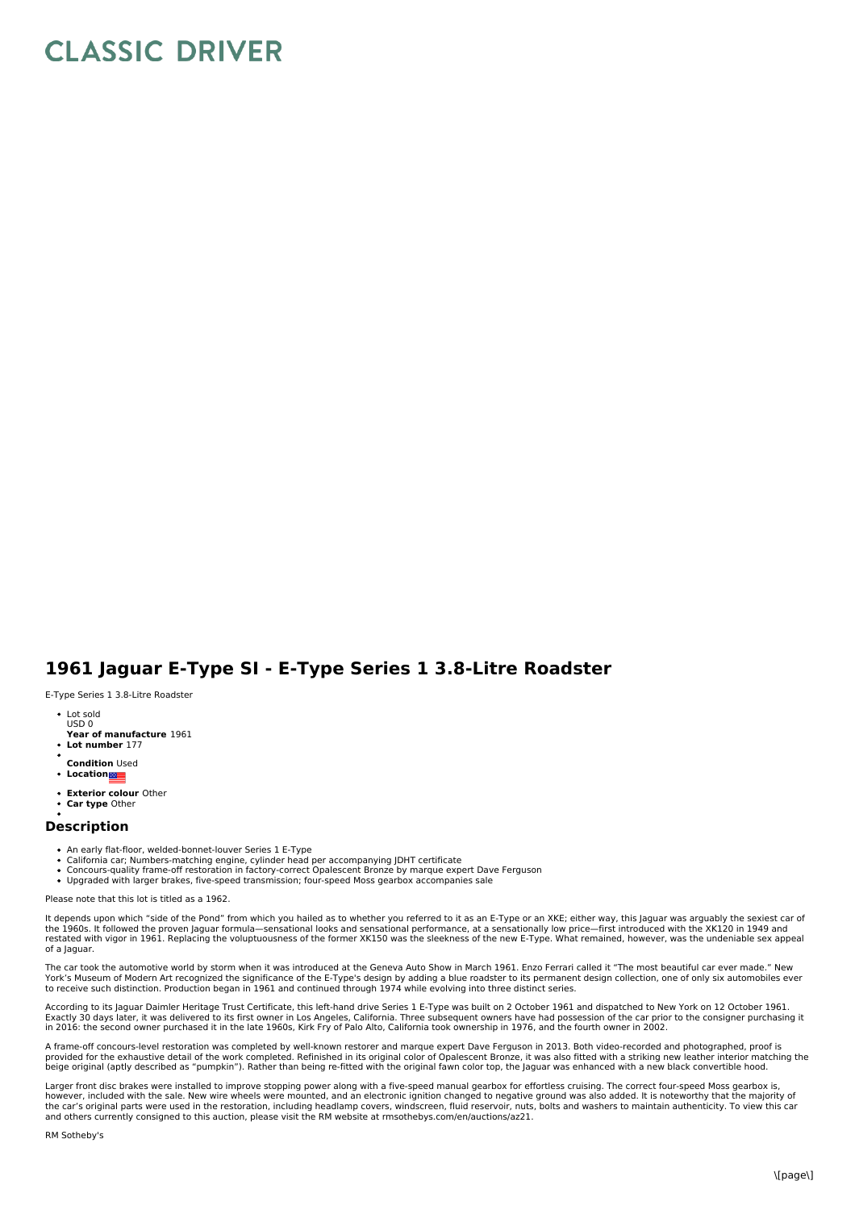## **CLASSIC DRIVER**

## **1961 Jaguar E-Type SI - E-Type Series 1 3.8-Litre Roadster**

E-Type Series 1 3.8-Litre Roadster

- Lot sold USD 0
- **Year of manufacture** 1961
- **Lot number** 177
- **Condition** Used
- **Location**
- **Exterior colour** Other
- **Car type** Other

## **Description**

- 
- An early flat-floor, welded-bonnet-louver Series 1 E-Type<br>California car; Numbers-matching engine, cylinder head per accompanying JDHT certificate
- Concours-quality frame-off restoration in factory-correct Opalescent Bronze by marque expert Dave Ferguson<br>Upgraded with larger brakes, five-speed transmission; four-speed Moss gearbox accompanies sale

Please note that this lot is titled as a 1962.

It depends upon which "side of the Pond" from which you hailed as to whether you referred to it as an E-Type or an XKE; either way, this Jaguar was arguably the sexiest car of the 1960s. It followed the proven Jaguar formula—sensational looks and sensational performance, at a sensationally low price—first introduced with the XK120 in 1949 and<br>restated with vigor in 1961. Replacing the voluptuous of a Jaguar.

The car took the automotive world by storm when it was introduced at the Geneva Auto Show in March 1961. Enzo Ferrari called it "The most beautiful car ever made." New York's Museum of Modern Art recognized the significance of the E-Type's design by adding a blue roadster to its permanent design collection, one of only six automobiles ever<br>to receive such distinction. Production began in

According to its Jaguar Daimler Heritage Trust Certificate, this left-hand drive Series 1 E-Type was built on 2 October 1961 and dispatched to New York on 12 October 1961.<br>Exactly 30 days later, it was delivered to its fir in 2016: the second owner purchased it in the late 1960s, Kirk Fry of Palo Alto, California took ownership in 1976, and the fourth owner in 2002.

A frame-off concours-level restoration was completed by well-known restorer and marque expert Dave Ferguson in 2013. Both video-recorded and photographed, proof is provided for the exhaustive detail of the work completed. Refinished in its original color of Opalescent Bronze, it was also fitted with a striking new leather interior matching the<br>beige original (aptly described as "pump

Larger front disc brakes were installed to improve stopping power along with a five-speed manual gearbox for effortless cruising. The correct four-speed Moss gearbox is,<br>however, included with the sale. New wire wheels wer the car's original parts were used in the restoration, including headlamp covers, windscreen, fluid reservoir, nuts, bolts and washers to maintain authenticity. To view this car<br>and others currently consigned to this aucti